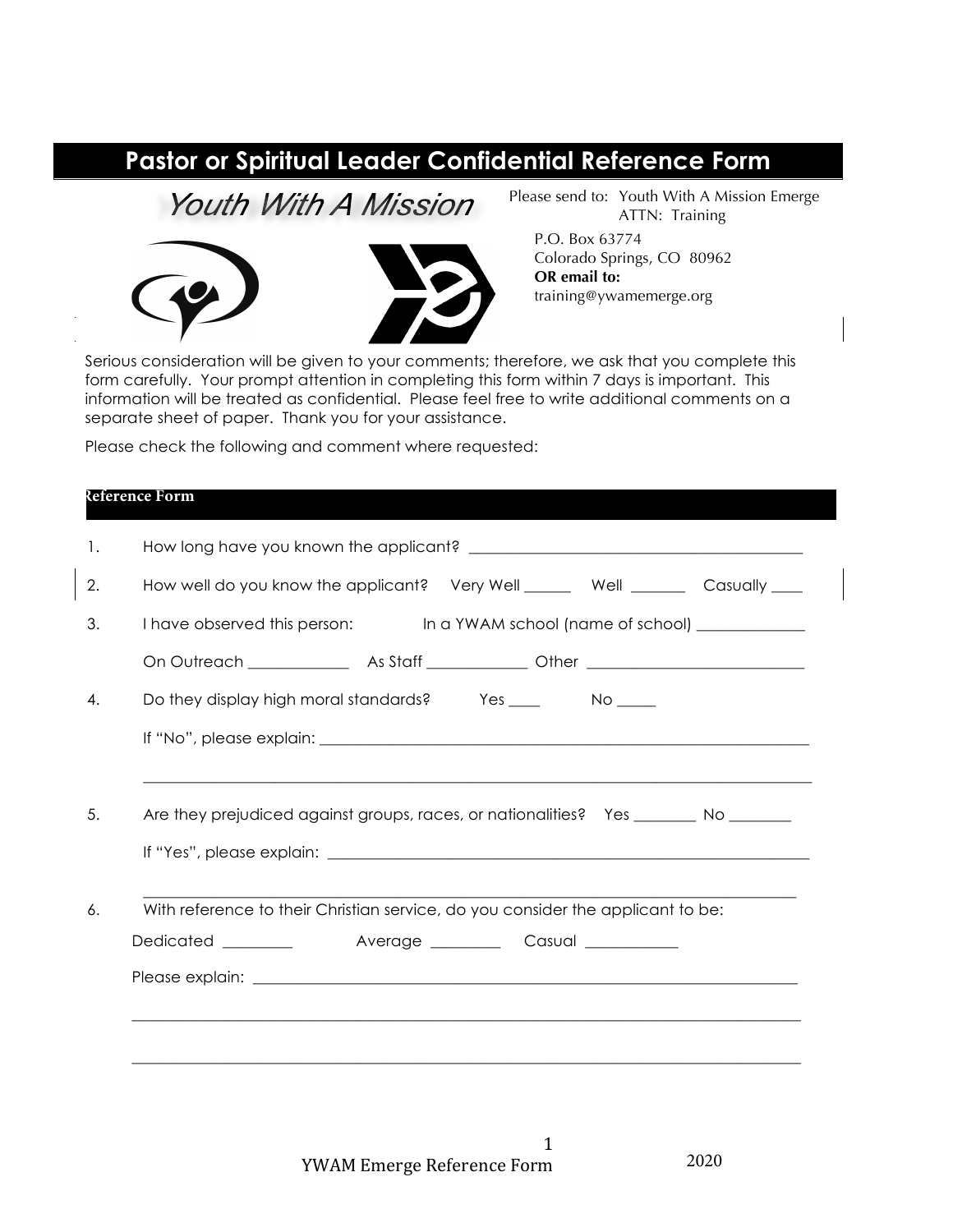## **Pastor or Spiritual Leader Confidential Reference Form**

**Youth With A Mission** 



Please send to: Youth With A Mission Emerge ATTN: Training

P.O. Box 63774 Colorado Springs, CO 80962 **OR email to:** training@ywamemerge.org

Serious consideration will be given to your comments; therefore, we ask that you complete this form carefully. Your prompt attention in completing this form within 7 days is important. This information will be treated as confidential. Please feel free to write additional comments on a separate sheet of paper. Thank you for your assistance.

Please check the following and comment where requested:

## **Reference Form**

| How well do you know the applicant? Very Well ______ Well _______ Casually ____ |  |                                                                                                                                                                                                                                                                                                                 |
|---------------------------------------------------------------------------------|--|-----------------------------------------------------------------------------------------------------------------------------------------------------------------------------------------------------------------------------------------------------------------------------------------------------------------|
|                                                                                 |  |                                                                                                                                                                                                                                                                                                                 |
|                                                                                 |  |                                                                                                                                                                                                                                                                                                                 |
|                                                                                 |  |                                                                                                                                                                                                                                                                                                                 |
|                                                                                 |  |                                                                                                                                                                                                                                                                                                                 |
|                                                                                 |  |                                                                                                                                                                                                                                                                                                                 |
|                                                                                 |  |                                                                                                                                                                                                                                                                                                                 |
|                                                                                 |  |                                                                                                                                                                                                                                                                                                                 |
|                                                                                 |  |                                                                                                                                                                                                                                                                                                                 |
|                                                                                 |  |                                                                                                                                                                                                                                                                                                                 |
|                                                                                 |  |                                                                                                                                                                                                                                                                                                                 |
|                                                                                 |  | I have observed this person: In a YWAM school (name of school) ____________<br>Are they prejudiced against groups, races, or nationalities? Yes _______ No _______<br>With reference to their Christian service, do you consider the applicant to be:<br>Dedicated __________ Average ________ Casual _________ |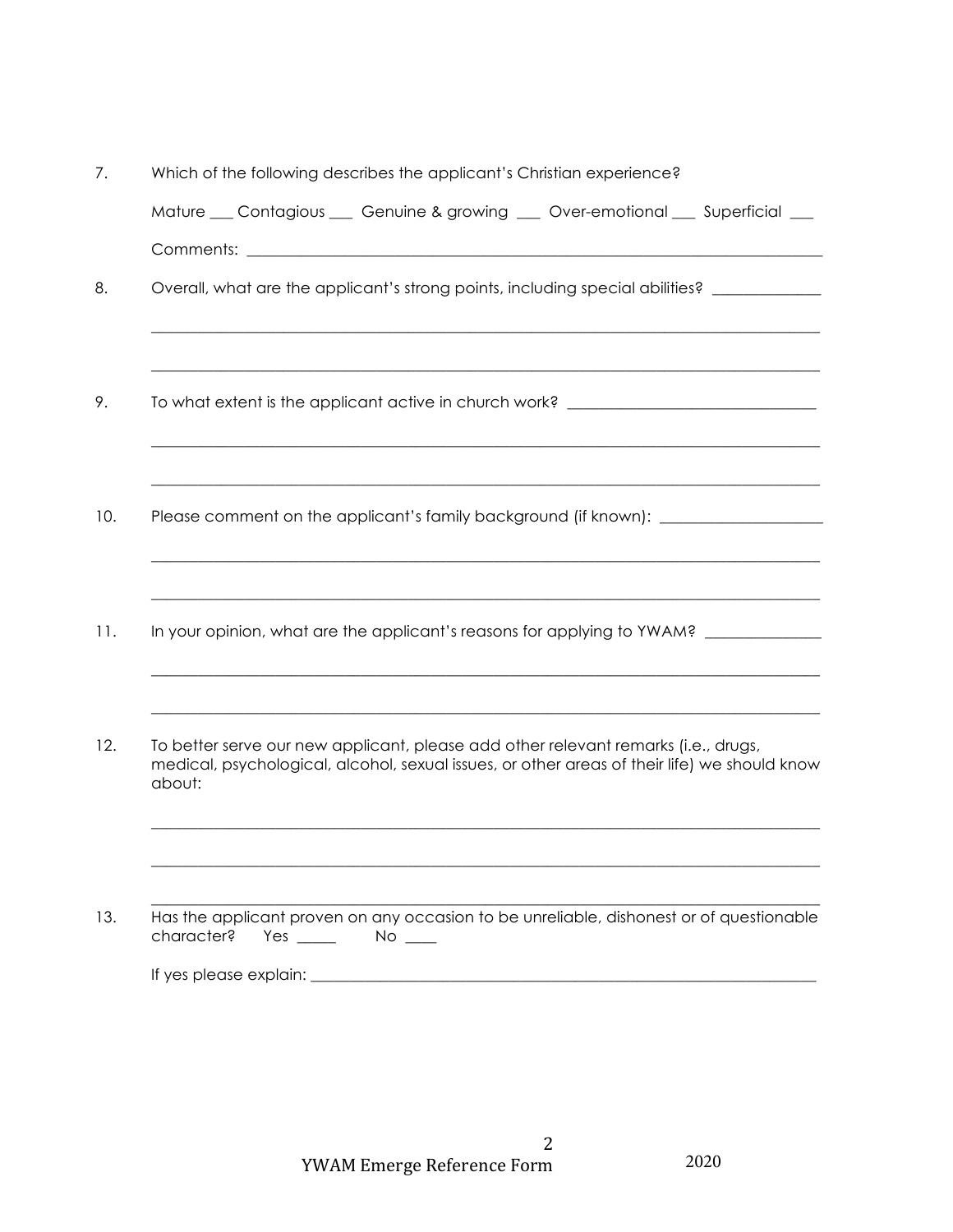| 7.  | Which of the following describes the applicant's Christian experience?                                                                                                                       |
|-----|----------------------------------------------------------------------------------------------------------------------------------------------------------------------------------------------|
|     | Mature __ Contagious __ Genuine & growing __ Over-emotional __ Superficial __                                                                                                                |
|     |                                                                                                                                                                                              |
| 8.  | Overall, what are the applicant's strong points, including special abilities? _________                                                                                                      |
|     |                                                                                                                                                                                              |
| 9.  | To what extent is the applicant active in church work? _________________________                                                                                                             |
|     |                                                                                                                                                                                              |
| 10. | Please comment on the applicant's family background (if known): ________________                                                                                                             |
|     |                                                                                                                                                                                              |
| 11. | In your opinion, what are the applicant's reasons for applying to YWAM?                                                                                                                      |
|     |                                                                                                                                                                                              |
| 12. | To better serve our new applicant, please add other relevant remarks (i.e., drugs,<br>medical, psychological, alcohol, sexual issues, or other areas of their life) we should know<br>about: |
|     |                                                                                                                                                                                              |
|     |                                                                                                                                                                                              |
| 13. | Has the applicant proven on any occasion to be unreliable, dishonest or of questionable<br>character?<br>Yes $\_\_\_\_\_\_\$<br>$No \_\_$                                                    |
|     |                                                                                                                                                                                              |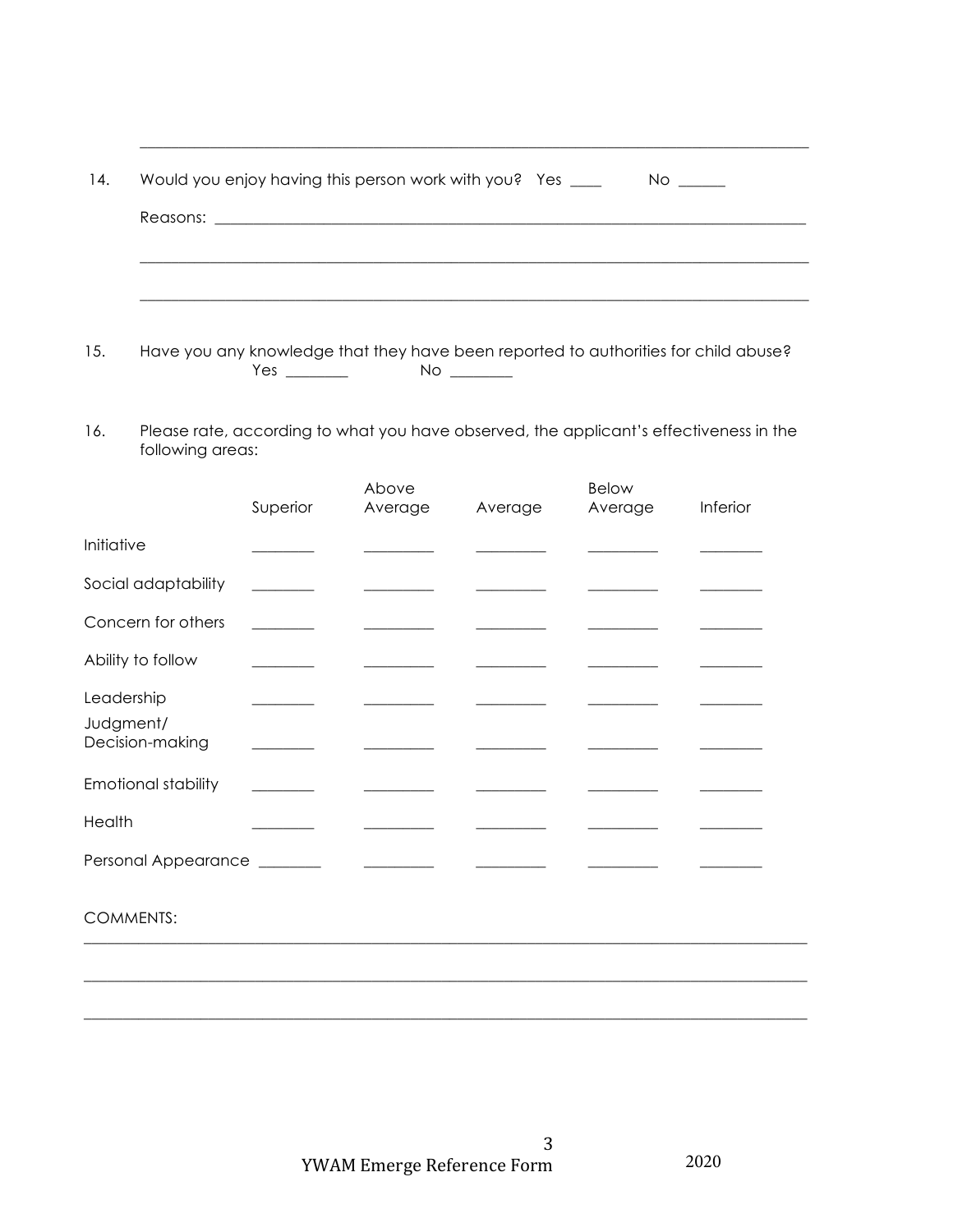| 14. | Would you enjoy having this person work with you? Yes ____<br>$No \_\_$ |
|-----|-------------------------------------------------------------------------|
|     |                                                                         |
|     |                                                                         |
|     |                                                                         |

- $15.$
- Please rate, according to what you have observed, the applicant's effectiveness in the 16. following areas:

|                                            | Superior                                             | Above<br>Average                                                                                                                                                                                                                     | Average | <b>Below</b><br>Average | Inferior |
|--------------------------------------------|------------------------------------------------------|--------------------------------------------------------------------------------------------------------------------------------------------------------------------------------------------------------------------------------------|---------|-------------------------|----------|
| Initiative                                 | <u> 1989 - Andrea Sta</u>                            |                                                                                                                                                                                                                                      |         |                         |          |
| Social adaptability                        |                                                      |                                                                                                                                                                                                                                      |         |                         |          |
| Concern for others                         |                                                      |                                                                                                                                                                                                                                      |         |                         |          |
| Ability to follow                          | <u> 1999 - Jan Jan Jawa</u>                          |                                                                                                                                                                                                                                      |         |                         |          |
| Leadership<br>Judgment/<br>Decision-making | <u> 1989 - Andrea Store Barnett, ameri</u> kansk kon |                                                                                                                                                                                                                                      |         |                         |          |
| <b>Emotional stability</b>                 |                                                      |                                                                                                                                                                                                                                      |         |                         |          |
| Health                                     |                                                      |                                                                                                                                                                                                                                      |         |                         |          |
| Personal Appearance ________               |                                                      | <u> 1986 - Jan Stein Stein Stein Stein Stein Stein Stein Stein Stein Stein Stein Stein Stein Stein Stein Stein Stein Stein Stein Stein Stein Stein Stein Stein Stein Stein Stein Stein Stein Stein Stein Stein Stein Stein Stein</u> |         |                         |          |
| <b>COMMENTS:</b>                           |                                                      |                                                                                                                                                                                                                                      |         |                         |          |
|                                            |                                                      |                                                                                                                                                                                                                                      |         |                         |          |